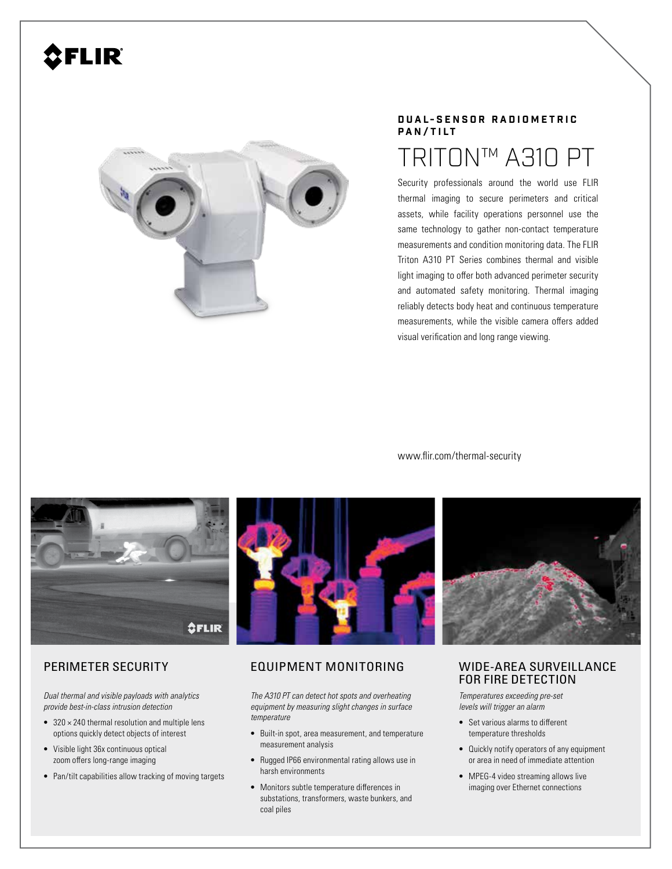# FLIR®



## **D U A L- S E N S O R R A D I O M E T R I C PAN/TILT**

## TRITON™ A310 PT

Security professionals around the world use FLIR thermal imaging to secure perimeters and critical assets, while facility operations personnel use the same technology to gather non-contact temperature measurements and condition monitoring data. The FLIR Triton A310 PT Series combines thermal and visible light imaging to offer both advanced perimeter security and automated safety monitoring. Thermal imaging reliably detects body heat and continuous temperature measurements, while the visible camera offers added visual verification and long range viewing.

www.flir.com/thermal-security





*Dual thermal and visible payloads with analytics provide best-in-class intrusion detection*

- $\bullet$  320  $\times$  240 thermal resolution and multiple lens options quickly detect objects of interest
- Visible light 36x continuous optical zoom offers long-range imaging
- Pan/tilt capabilities allow tracking of moving targets

## PERIMETER SECURITY EQUIPMENT MONITORING

*The A310 PT can detect hot spots and overheating equipment by measuring slight changes in surface temperature* 

- Built-in spot, area measurement, and temperature measurement analysis
- Rugged IP66 environmental rating allows use in harsh environments
- Monitors subtle temperature differences in substations, transformers, waste bunkers, and coal piles

## WIDE-AREA SURVEILLANCE FOR FIRE DETECTION

*Temperatures exceeding pre-set levels will trigger an alarm*

- Set various alarms to different temperature thresholds
- Quickly notify operators of any equipment or area in need of immediate attention
- MPEG-4 video streaming allows live imaging over Ethernet connections